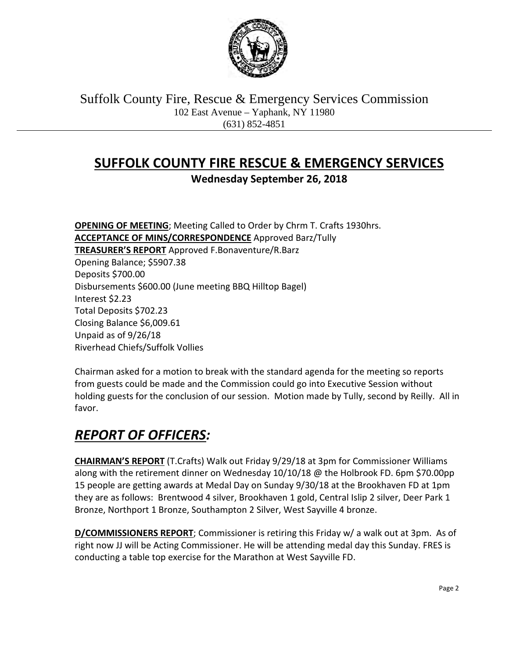

Suffolk County Fire, Rescue & Emergency Services Commission 102 East Avenue – Yaphank, NY 11980 (631) 852-4851

# **SUFFOLK COUNTY FIRE RESCUE & EMERGENCY SERVICES**

**Wednesday September 26, 2018**

**OPENING OF MEETING**; Meeting Called to Order by Chrm T. Crafts 1930hrs. **ACCEPTANCE OF MINS/CORRESPONDENCE** Approved Barz/Tully **TREASURER'S REPORT** Approved F.Bonaventure/R.Barz Opening Balance; \$5907.38 Deposits \$700.00 Disbursements \$600.00 (June meeting BBQ Hilltop Bagel) Interest \$2.23 Total Deposits \$702.23 Closing Balance \$6,009.61 Unpaid as of 9/26/18 Riverhead Chiefs/Suffolk Vollies

Chairman asked for a motion to break with the standard agenda for the meeting so reports from guests could be made and the Commission could go into Executive Session without holding guests for the conclusion of our session. Motion made by Tully, second by Reilly. All in favor.

# *REPORT OF OFFICERS:*

**CHAIRMAN'S REPORT** (T.Crafts) Walk out Friday 9/29/18 at 3pm for Commissioner Williams along with the retirement dinner on Wednesday 10/10/18 @ the Holbrook FD. 6pm \$70.00pp 15 people are getting awards at Medal Day on Sunday 9/30/18 at the Brookhaven FD at 1pm they are as follows: Brentwood 4 silver, Brookhaven 1 gold, Central Islip 2 silver, Deer Park 1 Bronze, Northport 1 Bronze, Southampton 2 Silver, West Sayville 4 bronze.

**D/COMMISSIONERS REPORT**; Commissioner is retiring this Friday w/ a walk out at 3pm. As of right now JJ will be Acting Commissioner. He will be attending medal day this Sunday. FRES is conducting a table top exercise for the Marathon at West Sayville FD.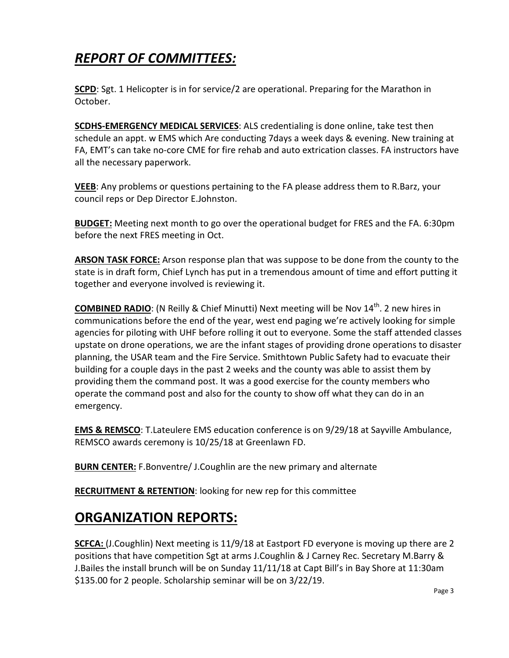# *REPORT OF COMMITTEES:*

**SCPD**: Sgt. 1 Helicopter is in for service/2 are operational. Preparing for the Marathon in October.

**SCDHS-EMERGENCY MEDICAL SERVICES**: ALS credentialing is done online, take test then schedule an appt. w EMS which Are conducting 7days a week days & evening. New training at FA, EMT's can take no-core CME for fire rehab and auto extrication classes. FA instructors have all the necessary paperwork.

**VEEB**: Any problems or questions pertaining to the FA please address them to R.Barz, your council reps or Dep Director E.Johnston.

**BUDGET:** Meeting next month to go over the operational budget for FRES and the FA. 6:30pm before the next FRES meeting in Oct.

**ARSON TASK FORCE:** Arson response plan that was suppose to be done from the county to the state is in draft form, Chief Lynch has put in a tremendous amount of time and effort putting it together and everyone involved is reviewing it.

**COMBINED RADIO**: (N Reilly & Chief Minutti) Next meeting will be Nov 14<sup>th</sup>. 2 new hires in communications before the end of the year, west end paging we're actively looking for simple agencies for piloting with UHF before rolling it out to everyone. Some the staff attended classes upstate on drone operations, we are the infant stages of providing drone operations to disaster planning, the USAR team and the Fire Service. Smithtown Public Safety had to evacuate their building for a couple days in the past 2 weeks and the county was able to assist them by providing them the command post. It was a good exercise for the county members who operate the command post and also for the county to show off what they can do in an emergency.

**EMS & REMSCO**: T.Lateulere EMS education conference is on 9/29/18 at Sayville Ambulance, REMSCO awards ceremony is 10/25/18 at Greenlawn FD.

**BURN CENTER:** F.Bonventre/ J.Coughlin are the new primary and alternate

**RECRUITMENT & RETENTION**: looking for new rep for this committee

### **ORGANIZATION REPORTS:**

**SCFCA:** (J.Coughlin) Next meeting is 11/9/18 at Eastport FD everyone is moving up there are 2 positions that have competition Sgt at arms J.Coughlin & J Carney Rec. Secretary M.Barry & J.Bailes the install brunch will be on Sunday 11/11/18 at Capt Bill's in Bay Shore at 11:30am \$135.00 for 2 people. Scholarship seminar will be on  $3/22/19$ .<br>Page 3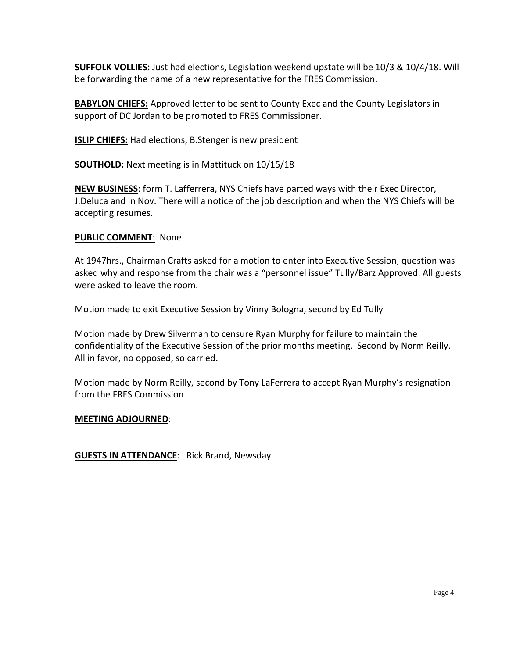**SUFFOLK VOLLIES:** Just had elections, Legislation weekend upstate will be 10/3 & 10/4/18. Will be forwarding the name of a new representative for the FRES Commission.

**BABYLON CHIEFS:** Approved letter to be sent to County Exec and the County Legislators in support of DC Jordan to be promoted to FRES Commissioner.

**ISLIP CHIEFS:** Had elections, B.Stenger is new president

**SOUTHOLD:** Next meeting is in Mattituck on 10/15/18

**NEW BUSINESS**: form T. Lafferrera, NYS Chiefs have parted ways with their Exec Director, J.Deluca and in Nov. There will a notice of the job description and when the NYS Chiefs will be accepting resumes.

### **PUBLIC COMMENT**: None

At 1947hrs., Chairman Crafts asked for a motion to enter into Executive Session, question was asked why and response from the chair was a "personnel issue" Tully/Barz Approved. All guests were asked to leave the room.

Motion made to exit Executive Session by Vinny Bologna, second by Ed Tully

Motion made by Drew Silverman to censure Ryan Murphy for failure to maintain the confidentiality of the Executive Session of the prior months meeting. Second by Norm Reilly. All in favor, no opposed, so carried.

Motion made by Norm Reilly, second by Tony LaFerrera to accept Ryan Murphy's resignation from the FRES Commission

#### **MEETING ADJOURNED**:

**GUESTS IN ATTENDANCE**: Rick Brand, Newsday